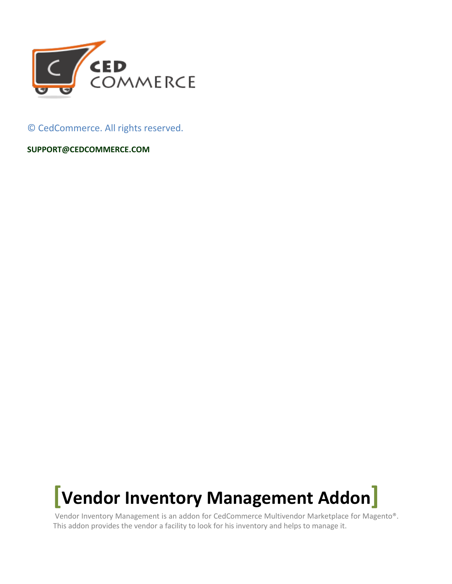

© CedCommerce. All rights reserved.

**SUPPORT@CEDCOMMERCE.COM**



Vendor Inventory Management is an addon for CedCommerce Multivendor Marketplace for Magento®. This addon provides the vendor a facility to look for his inventory and helps to manage it.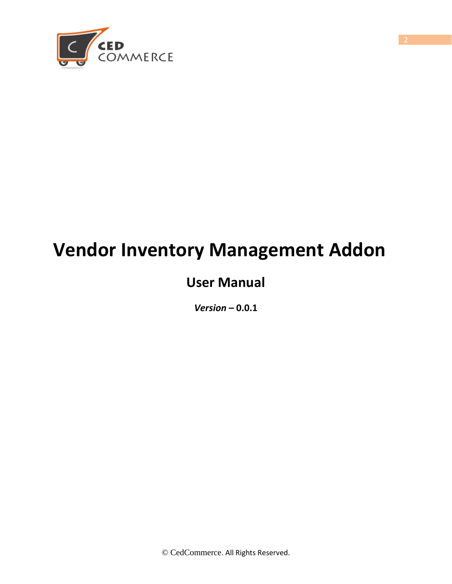

# **Vendor Inventory Management Addon**

# **User Manual**

*Version* **– 0.0.1**

© CedCommerce. All Rights Reserved.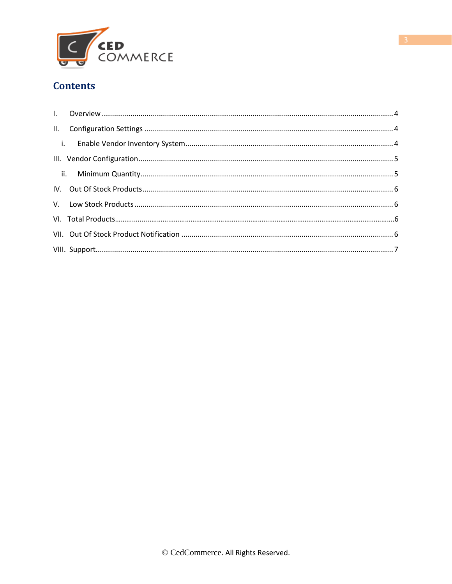

#### **Contents**

<span id="page-2-0"></span>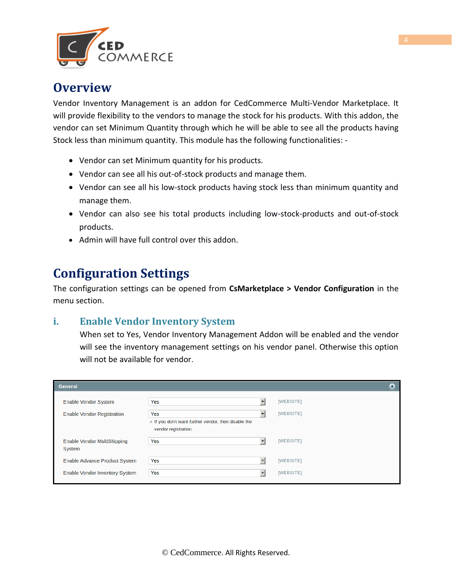

### **Overview**

Vendor Inventory Management is an addon for CedCommerce Multi-Vendor Marketplace. It will provide flexibility to the vendors to manage the stock for his products. With this addon, the vendor can set Minimum Quantity through which he will be able to see all the products having Stock less than minimum quantity. This module has the following functionalities: -

- Vendor can set Minimum quantity for his products.
- Vendor can see all his out-of-stock products and manage them.
- Vendor can see all his low-stock products having stock less than minimum quantity and manage them.
- Vendor can also see his total products including low-stock-products and out-of-stock products.
- Admin will have full control over this addon.

# <span id="page-3-0"></span>**Configuration Settings**

The configuration settings can be opened from **CsMarketplace > Vendor Configuration** in the menu section.

#### **i. Enable Vendor Inventory System**

When set to Yes, Vendor Inventory Management Addon will be enabled and the vendor will see the inventory management settings on his vendor panel. Otherwise this option will not be available for vendor.

| <b>General</b>                               |                                                                                                    |           |
|----------------------------------------------|----------------------------------------------------------------------------------------------------|-----------|
| <b>Enable Vendor System</b>                  | Yes                                                                                                | [WEBSITE] |
| <b>Enable Vendor Registration</b>            | Yes<br>$\blacktriangle$ If you don't want further vendor, then disable the<br>vendor registration. | [WEBSITE] |
| <b>Enable Vendor MultiShipping</b><br>System | Yes                                                                                                | [WEBSITE] |
| Enable Advance Product System                | Yes                                                                                                | [WEBSITE] |
| Enable Vendor Inventory System               | Yes                                                                                                | [WEBSITE] |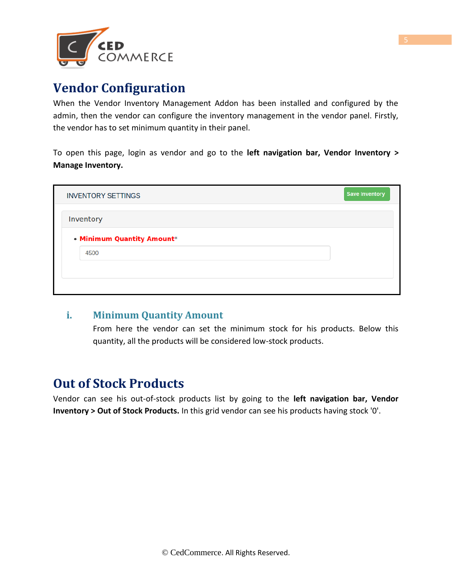

# **Vendor Configuration**

When the Vendor Inventory Management Addon has been installed and configured by the admin, then the vendor can configure the inventory management in the vendor panel. Firstly, the vendor has to set minimum quantity in their panel.

To open this page, login as vendor and go to the **left navigation bar, Vendor Inventory > Manage Inventory.**

| <b>INVENTORY SETTINGS</b>          | <b>Save Inventory</b> |
|------------------------------------|-----------------------|
| Inventory                          |                       |
| • Minimum Quantity Amount*<br>4500 |                       |
|                                    |                       |
|                                    |                       |

#### **i. Minimum Quantity Amount**

From here the vendor can set the minimum stock for his products. Below this quantity, all the products will be considered low-stock products.

# **Out of Stock Products**

Vendor can see his out-of-stock products list by going to the **left navigation bar, Vendor Inventory > Out of Stock Products.** In this grid vendor can see his products having stock '0'.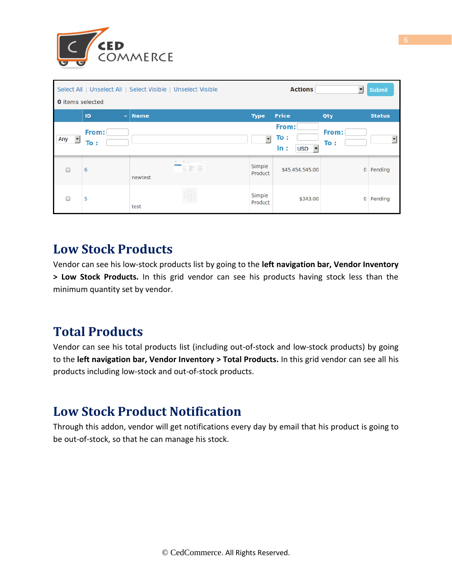

|                                 |                    | Select All   Unselect All   Select Visible   Unselect Visible |                        | <b>Actions</b>                            | ▾            | <b>Submit</b> |  |  |  |  |  |
|---------------------------------|--------------------|---------------------------------------------------------------|------------------------|-------------------------------------------|--------------|---------------|--|--|--|--|--|
| <b>0</b> items selected         |                    |                                                               |                        |                                           |              |               |  |  |  |  |  |
|                                 | ID<br>$\checkmark$ | <b>Name</b>                                                   | <b>Type</b>            | <b>Price</b>                              | Qty          | <b>Status</b> |  |  |  |  |  |
| $\overline{\phantom{a}}$<br>Any | From:<br>To:       |                                                               | $\left  \cdot \right $ | From:<br>To:<br>$USD - \mathbf{r}$<br>In: | From:<br>To: |               |  |  |  |  |  |
| ∩                               | 6                  | newtest                                                       | Simple<br>Product      | \$45,454,545.00                           | 0            | Pending       |  |  |  |  |  |
| ┌                               | 5                  | test                                                          | Simple<br>Product      | \$343.00                                  | 0            | Pending       |  |  |  |  |  |

## **Low Stock Products**

Vendor can see his low-stock products list by going to the **left navigation bar, Vendor Inventory > Low Stock Products.** In this grid vendor can see his products having stock less than the minimum quantity set by vendor.

# **Total Products**

Vendor can see his total products list (including out-of-stock and low-stock products) by going to the **left navigation bar, Vendor Inventory > Total Products.** In this grid vendor can see all his products including low-stock and out-of-stock products.

# **Low Stock Product Notification**

<span id="page-5-0"></span>Through this addon, vendor will get notifications every day by email that his product is going to be out-of-stock, so that he can manage his stock.